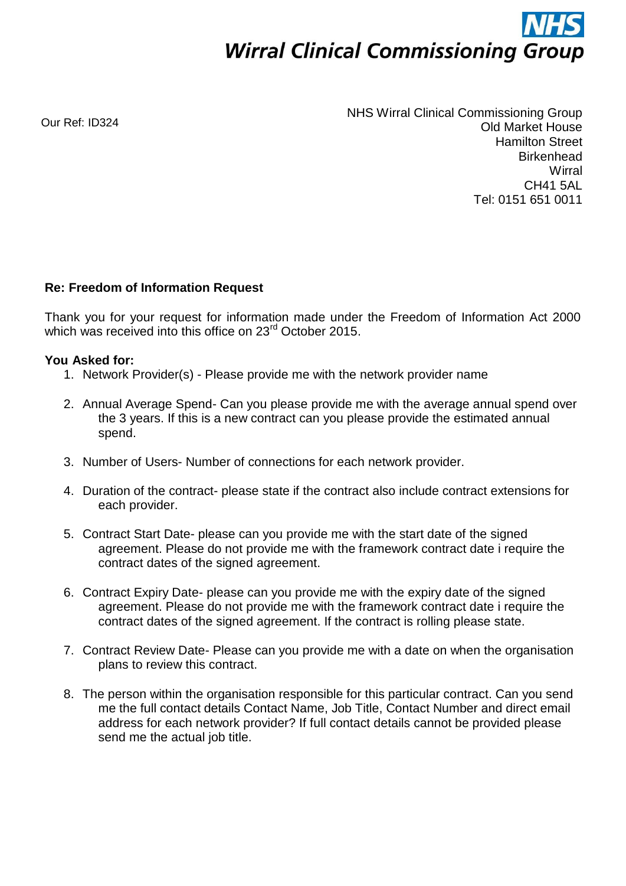

Our Ref: ID324

NHS Wirral Clinical Commissioning Group Old Market House Hamilton Street **Birkenhead Wirral** CH41 5AL Tel: 0151 651 0011

## **Re: Freedom of Information Request**

Thank you for your request for information made under the Freedom of Information Act 2000 which was received into this office on 23<sup>rd</sup> October 2015.

## **You Asked for:**

- 1. Network Provider(s) Please provide me with the network provider name
- 2. Annual Average Spend- Can you please provide me with the average annual spend over the 3 years. If this is a new contract can you please provide the estimated annual spend.
- 3. Number of Users- Number of connections for each network provider.
- 4. Duration of the contract- please state if the contract also include contract extensions for each provider.
- 5. Contract Start Date- please can you provide me with the start date of the signed agreement. Please do not provide me with the framework contract date i require the contract dates of the signed agreement.
- 6. Contract Expiry Date- please can you provide me with the expiry date of the signed agreement. Please do not provide me with the framework contract date i require the contract dates of the signed agreement. If the contract is rolling please state.
- 7. Contract Review Date- Please can you provide me with a date on when the organisation plans to review this contract.
- 8. The person within the organisation responsible for this particular contract. Can you send me the full contact details Contact Name, Job Title, Contact Number and direct email address for each network provider? If full contact details cannot be provided please send me the actual job title.